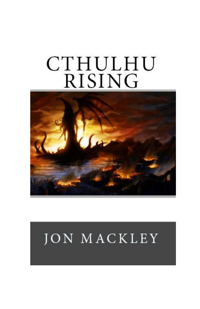## **CTHULHU RISING**



## **JON MACKLEY**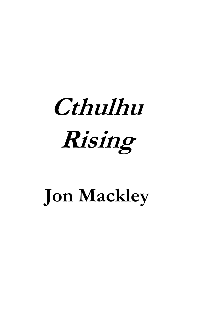## **Cthulhu Rising**

## **Jon Mackley**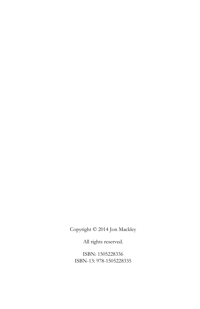Copyright © 2014 Jon Mackley

All rights reserved.

ISBN: 1505228336 ISBN-13: 978-1505228335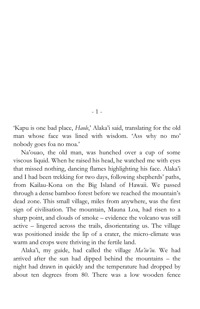'Kapu is one bad place, *Haole*,' Alaka'i said, translating for the old man whose face was lined with wisdom. 'Ass why no mo' nobody goes foa no moa.'

- 1 -

Na'ouao, the old man, was hunched over a cup of some viscous liquid. When he raised his head, he watched me with eyes that missed nothing, dancing flames highlighting his face. Alaka'i and I had been trekking for two days, following shepherds' paths, from Kailau-Kona on the Big Island of Hawaii. We passed through a dense bamboo forest before we reached the mountain's dead zone. This small village, miles from anywhere, was the first sign of civilisation. The mountain, Mauna Loa, had risen to a sharp point, and clouds of smoke – evidence the volcano was still active – lingered across the trails, disorientating us. The village was positioned inside the lip of a crater, the micro-climate was warm and crops were thriving in the fertile land.

Alaka'i, my guide, had called the village *Ma'iu'iu.* We had arrived after the sun had dipped behind the mountains – the night had drawn in quickly and the temperature had dropped by about ten degrees from 80. There was a low wooden fence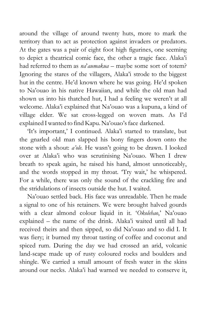around the village of around twenty huts, more to mark the territory than to act as protection against invaders or predators. At the gates was a pair of eight foot high figurines, one seeming to depict a theatrical comic face, the other a tragic face. Alaka'i had referred to them as *na*'*aumakua* – maybe some sort of totem? Ignoring the stares of the villagers, Alaka'i strode to the biggest hut in the centre. He'd known where he was going. He'd spoken to Na'ouao in his native Hawaiian, and while the old man had shown us into his thatched hut, I had a feeling we weren't at all welcome. Alaka'i explained that Na'ouao was a kupuna, a kind of village elder. We sat cross-legged on woven mats. As I'd explained I wanted to find Kapu. Na'ouao's face darkened.

'It's important,' I continued. Alaka'i started to translate, but the gnarled old man slapped his bony fingers down onto the stone with a shout: *a'ole*. He wasn't going to be drawn. I looked over at Alaka'i who was scrutinising Na'ouao. When I drew breath to speak again, he raised his hand, almost unnoticeably, and the words stopped in my throat. 'Try wait,' he whispered. For a while, there was only the sound of the crackling fire and the stridulations of insects outside the hut. I waited.

Na'ouao settled back. His face was unreadable. Then he made a signal to one of his retainers. We were brought halved gourds with a clear almond colour liquid in it. '*Okolehao*,' Na'ouao explained – the name of the drink. Alaka'i waited until all had received theirs and then sipped, so did Na'ouao and so did I. It was fiery; it burned my throat tasting of coffee and coconut and spiced rum. During the day we had crossed an arid, volcanic land-scape made up of rusty coloured rocks and boulders and shingle. We carried a small amount of fresh water in the skins around our necks. Alaka'i had warned we needed to conserve it,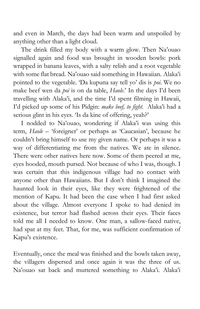and even in March, the days had been warm and unspoiled by anything other than a light cloud.

The drink filled my body with a warm glow. Then Na'ouao signalled again and food was brought in wooden bowls: pork wrapped in banana leaves, with a salty relish and a root vegetable with some flat bread. Na'ouao said something in Hawaiian. Alaka'i pointed to the vegetable. 'Da kupuna say tell yo' dis is *poi*. We no make beef wen da *poi* is on da table, *Haole*.' In the days I'd been travelling with Alaka'i, and the time I'd spent filming in Hawaii, I'd picked up some of his Pidgin: *make beef, to fight.* Alaka'i had a serious glint in his eyes. 'Is da kine of offering, yeah?'

I nodded to Na'ouao, wondering if Alaka'i was using this term, *Haole –* 'foreigner' or perhaps as 'Caucasian', because he couldn't bring himself to use my given name. Or perhaps it was a way of differentiating me from the natives. We ate in silence. There were other natives here now. Some of them peered at me, eyes hooded, mouth pursed. Not because of who I was, though. I was certain that this indigenous village had no contact with anyone other than Hawaiians. But I don't think I imagined the haunted look in their eyes, like they were frightened of the mention of Kapu. It had been the case when I had first asked about the village. Almost everyone I spoke to had denied its existence, but terror had flashed across their eyes. Their faces told me all I needed to know. One man, a sallow-faced native, had spat at my feet. That, for me, was sufficient confirmation of Kapu's existence.

Eventually, once the meal was finished and the bowls taken away, the villagers dispersed and once again it was the three of us. Na'ouao sat back and muttered something to Alaka'i. Alaka'i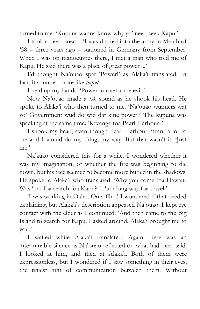turned to me. 'Kupuna wanna know why yo' need seek Kapu.'

I took a deep breath: 'I was drafted into the army in March of '58 – three years ago – stationed in Germany from September. When I was on manoeuvres there, I met a man who told me of Kapu. He said there was a place of great power ...'

I'd thought Na'ouao spat 'Power!' as Alaka'i translated. In fact, it sounded more like *pupule*.

I held up my hands. 'Power to overcome evil.'

Now Na'ouao made a *tsk* sound as he shook his head. He spoke to Alaka'i who then turned to me. 'Na'ouao wunners wat yo' Government wud do wid dat kine power?' The kupuna was speaking at the same time. 'Revenge foa Pearl Harbour?'

I shook my head, even though Pearl Harbour meant a lot to me and I would do my thing, my way. But that wasn't it. 'Just me'

Na'auao considered this for a while. I wondered whether it was my imagination, or whether the fire was beginning to die down, but his face seemed to become more buried in the shadows. He spoke to Alaka'i who translated: 'Why you come foa Hawaii? Was 'um foa search foa Kapu? It 'um long way foa travel.'

'I was working in Oahu. On a film.' I wondered if that needed explaining, but Alaka'i's description appeased Na'ouao. I kept eye contact with the elder as I continued. 'And then came to the Big Island to search for Kapu. I asked around. Alaka'i brought me to you.'

I waited while Alaka'i translated. Again there was an interminable silence as Na'ouao reflected on what had been said. I looked at him, and then at Alaka'i. Both of them were expressionless, but I wondered if I saw something in their eyes, the tiniest hint of communication between them. Without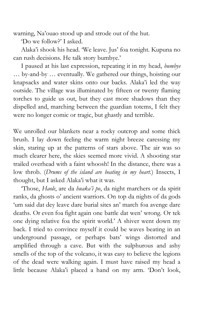warning, Na'ouao stood up and strode out of the hut.

'Do we follow?' I asked.

Alaka'i shook his head. 'We leave. Jus' foa tonight. Kupuna no can rush decisions. He talk story bumbye.'

I paused at his last expression, repeating it in my head, *bumbye*  … by-and-by … eventually. We gathered our things, hoisting our knapsacks and water skins onto our backs. Alaka'i led the way outside. The village was illuminated by fifteen or twenty flaming torches to guide us out, but they cast more shadows than they dispelled and, marching between the guardian totems, I felt they were no longer comic or tragic, but ghastly and terrible.

We unrolled our blankets near a rocky outcrop and some thick brush. I lay down feeling the warm night breeze caressing my skin, staring up at the patterns of stars above. The air was so much clearer here, the skies seemed more vivid. A shooting star trailed overhead with a faint whoosh! In the distance, there was a low throb. (*Drums of the island are beating in my heart.*) Insects, I thought, but I asked Alaka'i what it was.

'Those, *Haole*, are da *huaka'i po*, da night marchers or da spirit ranks, da ghosts o' ancient warriors. On top da nights of da gods 'um said dat dey leave dare burial sites an' march foa avenge dare deaths. Or even foa fight again one battle dat wen' wrong. Or tek one dying relative foa the spirit world.' A shiver went down my back. I tried to convince myself it could be waves beating in an underground passage, or perhaps bats' wings distorted and amplified through a cave. But with the sulphurous and ashy smells of the top of the volcano, it was easy to believe the legions of the dead were walking again. I must have raised my head a little because Alaka'i placed a hand on my arm. 'Don't look,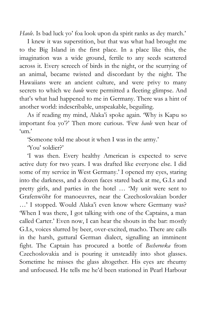*Haole*. Is bad luck yo' foa look upon da spirit ranks as dey march.'

I knew it was superstition, but that was what had brought me to the Big Island in the first place. In a place like this, the imagination was a wide ground, fertile to any seeds scattered across it. Every screech of birds in the night, or the scurrying of an animal, became twisted and discordant by the night. The Hawaiians were an ancient culture, and were privy to many secrets to which we *haole* were permitted a fleeting glimpse. And that's what had happened to me in Germany. There was a hint of another world: indescribable, unspeakable, beguiling.

As if reading my mind, Alaka'i spoke again. 'Why is Kapu so important foa yo'?' Then more curious. 'Few *haole* wen hear of  $\zeta_{\rm lim}$ ,

'Someone told me about it when I was in the army.'

'You' soldier?'

'I was then. Every healthy American is expected to serve active duty for two years. I was drafted like everyone else. I did some of my service in West Germany.' I opened my eyes, staring into the darkness, and a dozen faces stared back at me, G.I.s and pretty girls, and parties in the hotel … 'My unit were sent to Grafenwöhr for manoeuvres, near the Czechoslovakian border …' I stopped. Would Alaka'i even know where Germany was? 'When I was there, I got talking with one of the Captains, a man called Carter.' Even now, I can hear the shouts in the bar: mostly G.I.s, voices slurred by beer, over-excited, macho. There are calls in the harsh, guttural German dialect, signalling an imminent fight. The Captain has procured a bottle of *Becherovka* from Czechoslovakia and is pouring it unsteadily into shot glasses. Sometime he misses the glass altogether. His eyes are rheumy and unfocused. He tells me he'd been stationed in Pearl Harbour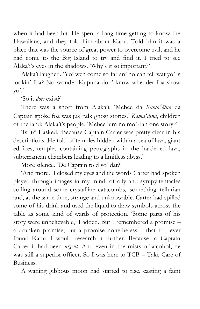when it had been hit. He spent a long time getting to know the Hawaiians, and they told him about Kapu. Told him it was a place that was the source of great power to overcome evil, and he had come to the Big Island to try and find it. I tried to see Alaka'i's eyes in the shadows. 'Why's it so important?'

Alaka'i laughed. 'Yo' wen come so far an' no can tell wat yo' is lookin' foa? No wonder Kupuna don' know whedder foa show yo'.'

'So it *does* exist?'

There was a snort from Alaka'i. 'Mebee da *Kamaʻāina* da Captain spoke foa was jus' talk ghost stories.' *Kamaʻāina*, children of the land: Alaka'i's people. 'Mebee 'um no mo' dan one story?'

'Is it?' I asked. 'Because Captain Carter was pretty clear in his descriptions. He told of temples hidden within a sea of lava, giant edifices, temples containing petroglyphs in the hardened lava, subterranean chambers leading to a limitless abyss.'

More silence. 'De Captain told yo' dat?'

'And more.' I closed my eyes and the words Carter had spoken played through images in my mind: of oily and syrupy tentacles coiling around some crystalline catacombs, something tellurian and, at the same time, strange and unknowable. Carter had spilled some of his drink and used the liquid to draw symbols across the table as some kind of wards of protection. 'Some parts of his story were unbelievable,' I added. But I remembered a promise – a drunken promise, but a promise nonetheless – that if I ever found Kapu, I would research it further. Because to Captain Carter it had been *urgent.* And even in the mists of alcohol, he was still a superior officer. So I was here to TCB – Take Care of Business.

A waning gibbous moon had started to rise, casting a faint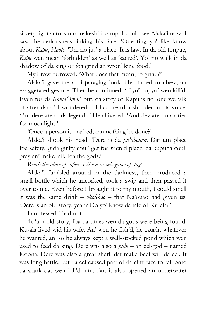silvery light across our makeshift camp. I could see Alaka'i now. I saw the seriousness linking his face. 'One ting yo' like know about *Kapu*, *Haole*. 'Um no jus' a place. It is law. In da old tongue, *Kapu* wen mean 'forbidden' as well as 'sacred'. Yo' no walk in da shadow of da king or foa grind an wron' kine food.'

My brow furrowed. 'What does that mean, to grind?'

Alaka'i gave me a disparaging look. He started to chew, an exaggerated gesture. Then he continued: 'If yo' do, yo' wen kill'd. Even foa da *Kamaʻāina.*' But, da story of Kapu is no' one we talk of after dark.' I wondered if I had heard a shudder in his voice. 'But dere are odda legends.' He shivered. 'And dey are no stories for moonlight.'

'Once a person is marked, can nothing be done?'

Alaka'i shook his head. 'Dere is da *pu'uhonua*. Dat um place foa safety. *If* da guilty coul' get foa sacred place, da kupuna coul' pray an' make talk foa the gods.'

*Reach the place of safety*. *Like a cosmic game of 'tag'.*

Alaka'i fumbled around in the darkness, then produced a small bottle which he uncorked, took a swig and then passed it over to me. Even before I brought it to my mouth, I could smell it was the same drink – *okolehao* – that Na'ouao had given us. 'Dere is an old story, yeah? Do yo' know da tale of Ku-ala?'

I confessed I had not.

'It 'um old story, foa da times wen da gods were being found. Ku-ala lived wid his wife. An' wen he fish'd, he caught whatever he wanted, an' so he always kept a well-stocked pond which wen used to feed da king. Dere was also a *puhi* – an eel-god – named Koona. Dere was also a great shark dat make beef wid da eel. It was long battle, but da eel caused part of da cliff face to fall onto da shark dat wen kill'd 'um. But it also opened an underwater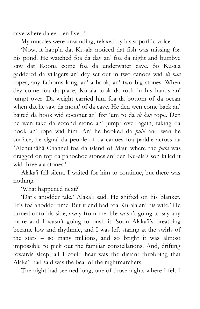cave where da eel den lived.'

My muscles were unwinding, relaxed by his soporific voice.

'Now, it happ'n dat Ku-ala noticed dat fish was missing foa his pond. He watched foa da day an' foa da night and bumbye saw dat Koona come foa da underwater cave. So Ku-ala gaddered da villagers an' dey set out in two canoes wid *ili hau* ropes, any fathoms long, an' a hook, an' two big stones. When dey come foa da place, Ku-ala took da rock in his hands an' jumpt over. Da weight carried him foa da bottom of da ocean when dat he saw da mout' of da cave. He den wen come back an' baited da hook wid coconut an' fixt 'um to da *ili hau* rope. Den he wen take da second stone an' jumpt over again, taking da hook an' rope wid him. An' he hooked da *puhi* and wen he surface, he signal da people of da canoes foa paddle across da ʻAlenuihāhā Channel foa da island of Maui where the *puhi* was dragged on top da pahoehoe stones an' den Ku-ala's son killed it wid three ala stones.'

Alaka'i fell silent. I waited for him to continue, but there was nothing.

'What happened next?'

'Dat's anodder tale,' Alaka'i said. He shifted on his blanket. 'It's foa anodder time. But it end bad foa Ku-ala an' his wife.' He turned onto his side, away from me. He wasn't going to say any more and I wasn't going to push it. Soon Alaka'i's breathing became low and rhythmic, and I was left staring at the swirls of the stars – so many millions, and so bright it was almost impossible to pick out the familiar constellations. And, drifting towards sleep, all I could hear was the distant throbbing that Alaka'i had said was the beat of the nightmarchers.

The night had seemed long, one of those nights where I felt I